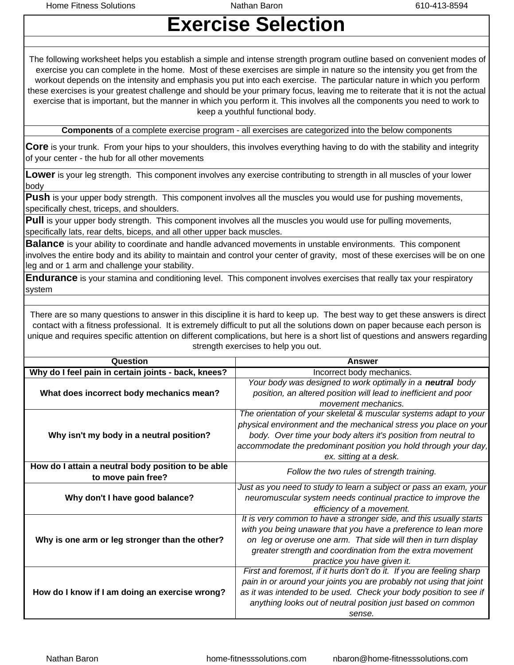## **Exercise Selection**

The following worksheet helps you establish a simple and intense strength program outline based on convenient modes of exercise you can complete in the home. Most of these exercises are simple in nature so the intensity you get from the workout depends on the intensity and emphasis you put into each exercise. The particular nature in which you perform these exercises is your greatest challenge and should be your primary focus, leaving me to reiterate that it is not the actual exercise that is important, but the manner in which you perform it. This involves all the components you need to work to keep a youthful functional body.

**Components** of a complete exercise program - all exercises are categorized into the below components

**Core** is your trunk. From your hips to your shoulders, this involves everything having to do with the stability and integrity of your center - the hub for all other movements

**Lower** is your leg strength. This component involves any exercise contributing to strength in all muscles of your lower body

**Push** is your upper body strength. This component involves all the muscles you would use for pushing movements, specifically chest, triceps, and shoulders.

**Pull** is your upper body strength. This component involves all the muscles you would use for pulling movements, specifically lats, rear delts, biceps, and all other upper back muscles.

**Balance** is your ability to coordinate and handle advanced movements in unstable environments. This component involves the entire body and its ability to maintain and control your center of gravity, most of these exercises will be on one leg and or 1 arm and challenge your stability.

**Endurance** is your stamina and conditioning level. This component involves exercises that really tax your respiratory system

There are so many questions to answer in this discipline it is hard to keep up. The best way to get these answers is direct contact with a fitness professional. It is extremely difficult to put all the solutions down on paper because each person is unique and requires specific attention on different complications, but here is a short list of questions and answers regarding strength exercises to help you out.

| Question                                                                 | Answer                                                                                                                                                                                                                                                                                               |
|--------------------------------------------------------------------------|------------------------------------------------------------------------------------------------------------------------------------------------------------------------------------------------------------------------------------------------------------------------------------------------------|
| Why do I feel pain in certain joints - back, knees?                      | Incorrect body mechanics.                                                                                                                                                                                                                                                                            |
| What does incorrect body mechanics mean?                                 | Your body was designed to work optimally in a neutral body<br>position, an altered position will lead to inefficient and poor<br>movement mechanics.                                                                                                                                                 |
| Why isn't my body in a neutral position?                                 | The orientation of your skeletal & muscular systems adapt to your<br>physical environment and the mechanical stress you place on your<br>body. Over time your body alters it's position from neutral to<br>accommodate the predominant position you hold through your day,<br>ex. sitting at a desk. |
| How do I attain a neutral body position to be able<br>to move pain free? | Follow the two rules of strength training.                                                                                                                                                                                                                                                           |
| Why don't I have good balance?                                           | Just as you need to study to learn a subject or pass an exam, your<br>neuromuscular system needs continual practice to improve the<br>efficiency of a movement.                                                                                                                                      |
| Why is one arm or leg stronger than the other?                           | It is very common to have a stronger side, and this usually starts<br>with you being unaware that you have a preference to lean more<br>on leg or overuse one arm. That side will then in turn display<br>greater strength and coordination from the extra movement<br>practice you have given it.   |
| How do I know if I am doing an exercise wrong?                           | First and foremost, if it hurts don't do it. If you are feeling sharp<br>pain in or around your joints you are probably not using that joint<br>as it was intended to be used. Check your body position to see if<br>anything looks out of neutral position just based on common<br>sense.           |